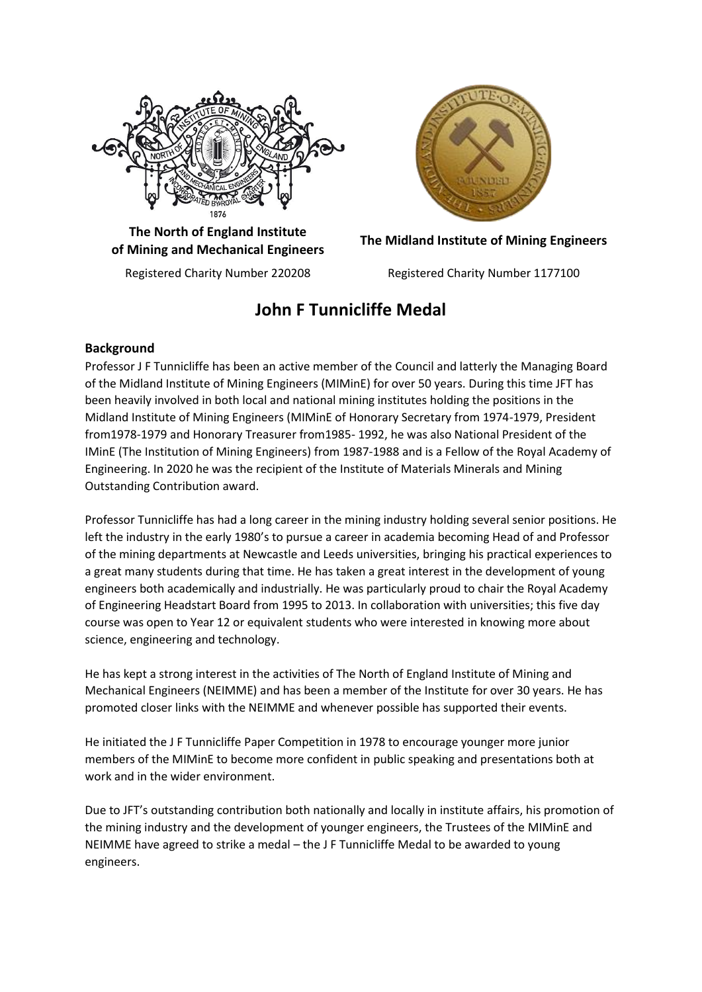

**The North of England Institute of Mining and Mechanical Engineers The Midland Institute of Mining Engineers**



Registered Charity Number 220208 Registered Charity Number 1177100

# **John F Tunnicliffe Medal**

## **Background**

Professor J F Tunnicliffe has been an active member of the Council and latterly the Managing Board of the Midland Institute of Mining Engineers (MIMinE) for over 50 years. During this time JFT has been heavily involved in both local and national mining institutes holding the positions in the Midland Institute of Mining Engineers (MIMinE of Honorary Secretary from 1974-1979, President from1978-1979 and Honorary Treasurer from1985- 1992, he was also National President of the IMinE (The Institution of Mining Engineers) from 1987-1988 and is a Fellow of the Royal Academy of Engineering. In 2020 he was the recipient of the Institute of Materials Minerals and Mining Outstanding Contribution award.

Professor Tunnicliffe has had a long career in the mining industry holding several senior positions. He left the industry in the early 1980's to pursue a career in academia becoming Head of and Professor of the mining departments at Newcastle and Leeds universities, bringing his practical experiences to a great many students during that time. He has taken a great interest in the development of young engineers both academically and industrially. He was particularly proud to chair the Royal Academy of Engineering Headstart Board from 1995 to 2013. In collaboration with universities; this five day course was open to Year 12 or equivalent students who were interested in knowing more about science, engineering and technology.

He has kept a strong interest in the activities of The North of England Institute of Mining and Mechanical Engineers (NEIMME) and has been a member of the Institute for over 30 years. He has promoted closer links with the NEIMME and whenever possible has supported their events.

He initiated the J F Tunnicliffe Paper Competition in 1978 to encourage younger more junior members of the MIMinE to become more confident in public speaking and presentations both at work and in the wider environment.

Due to JFT's outstanding contribution both nationally and locally in institute affairs, his promotion of the mining industry and the development of younger engineers, the Trustees of the MIMinE and NEIMME have agreed to strike a medal – the J F Tunnicliffe Medal to be awarded to young engineers.